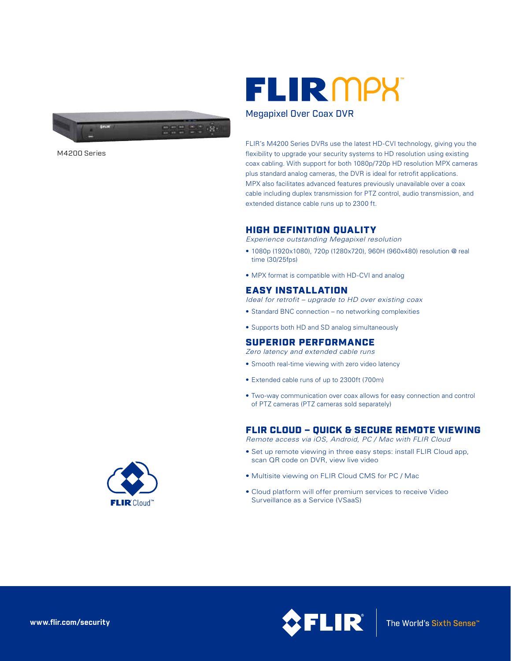

M4200 Series

# **FLIR** MPX

## Megapixel Over Coax DVR

FLIR's M4200 Series DVRs use the latest HD-CVI technology, giving you the flexibility to upgrade your security systems to HD resolution using existing coax cabling. With support for both 1080p/720p HD resolution MPX cameras plus standard analog cameras, the DVR is ideal for retrofit applications. MPX also facilitates advanced features previously unavailable over a coax cable including duplex transmission for PTZ control, audio transmission, and extended distance cable runs up to 2300 ft.

# HIGH DEFINITION QUALITY

*Experience outstanding Megapixel resolution*

- 1080p (1920x1080), 720p (1280x720), 960H (960x480) resolution @ real time (30/25fps)
- MPX format is compatible with HD-CVI and analog

# EASY INSTALLATION

- *Ideal for retrofit upgrade to HD over existing coax*
- Standard BNC connection no networking complexities
- Supports both HD and SD analog simultaneously

# SUPERIOR PERFORMANCE

*Zero latency and extended cable runs*

- Smooth real-time viewing with zero video latency
- Extended cable runs of up to 2300ft (700m)
- Two-way communication over coax allows for easy connection and control of PTZ cameras (PTZ cameras sold separately)

# FLIR CLOUD – QUICK & SECURE REMOTE VIEWING

*Remote access via iOS, Android, PC / Mac with FLIR Cloud*

- Set up remote viewing in three easy steps: install FLIR Cloud app, scan QR code on DVR, view live video
- Multisite viewing on FLIR Cloud CMS for PC / Mac
- Cloud platform will offer premium services to receive Video Surveillance as a Service (VSaaS)



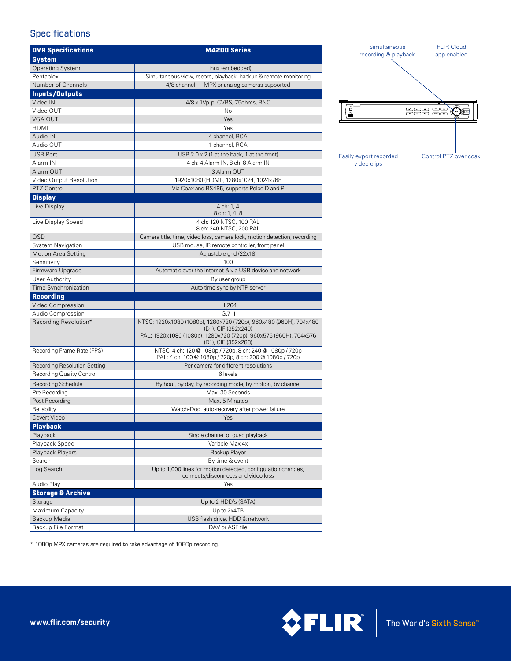# **Specifications**

| <b>DVR Specifications</b>    | M4200 Series                                                                                                                                                 |
|------------------------------|--------------------------------------------------------------------------------------------------------------------------------------------------------------|
| <b>System</b>                |                                                                                                                                                              |
| <b>Operating System</b>      | Linux (embedded)                                                                                                                                             |
| Pentaplex                    | Simultaneous view, record, playback, backup & remote monitoring                                                                                              |
| Number of Channels           | 4/8 channel - MPX or analog cameras supported                                                                                                                |
| <b>Inputs/Outputs</b>        |                                                                                                                                                              |
| Video IN                     | 4/8 x 1Vp-p, CVBS, 75ohms, BNC                                                                                                                               |
| Video OUT                    | No                                                                                                                                                           |
| VGA OUT                      | Yes                                                                                                                                                          |
| <b>HDMI</b>                  | Yes                                                                                                                                                          |
| Audio IN                     | 4 channel, RCA                                                                                                                                               |
| Audio OUT                    | 1 channel, RCA                                                                                                                                               |
| <b>USB Port</b>              | USB $2.0 \times 2$ (1 at the back, 1 at the front)                                                                                                           |
| Alarm IN                     | 4 ch: 4 Alarm IN, 8 ch: 8 Alarm IN                                                                                                                           |
| Alarm OUT                    | 3 Alarm OUT                                                                                                                                                  |
| Video Output Resolution      | 1920x1080 (HDMI), 1280x1024, 1024x768                                                                                                                        |
| PTZ Control                  | Via Coax and RS485, supports Pelco D and P                                                                                                                   |
| <b>Display</b>               |                                                                                                                                                              |
| Live Display                 | 4 ch: 1.4<br>8 ch: 1, 4, 8                                                                                                                                   |
| Live Display Speed           | 4 ch: 120 NTSC, 100 PAL<br>8 ch: 240 NTSC, 200 PAL                                                                                                           |
| <b>OSD</b>                   | Camera title, time, video loss, camera lock, motion detection, recording                                                                                     |
| System Navigation            | USB mouse, IR remote controller, front panel                                                                                                                 |
| Motion Area Setting          | Adjustable grid (22x18)                                                                                                                                      |
| Sensitivity                  | 100                                                                                                                                                          |
| Firmware Upgrade             | Automatic over the Internet & via USB device and network                                                                                                     |
| <b>User Authority</b>        | By user group                                                                                                                                                |
| Time Synchronization         | Auto time sync by NTP server                                                                                                                                 |
| <b>Recording</b>             |                                                                                                                                                              |
| Video Compression            | H.264                                                                                                                                                        |
| Audio Compression            | G.711                                                                                                                                                        |
| Recording Resolution*        | NTSC: 1920x1080 (1080p), 1280x720 (720p), 960x480 (960H), 704x480<br>(D1), CIF (352×240)<br>PAL: 1920x1080 (1080p), 1280x720 (720p), 960x576 (960H), 704x576 |
|                              | (D1), CIF (352x288)                                                                                                                                          |
| Recording Frame Rate (FPS)   | NTSC: 4 ch: 120 @ 1080p / 720p, 8 ch: 240 @ 1080p / 720p<br>PAL: 4 ch: 100 @ 1080p / 720p, 8 ch: 200 @ 1080p / 720p                                          |
| Recording Resolution Setting | Per camera for different resolutions                                                                                                                         |
| Recording Quality Control    | 6 levels                                                                                                                                                     |
| <b>Recording Schedule</b>    | By hour, by day, by recording mode, by motion, by channel                                                                                                    |
| Pre Recording                | Max. 30 Seconds                                                                                                                                              |
| Post Recording               | Max. 5 Minutes                                                                                                                                               |
| Reliability                  | Watch-Dog, auto-recovery after power failure                                                                                                                 |
| Covert Video                 | <b>Example Street Yes</b>                                                                                                                                    |
| <b>Playback</b>              |                                                                                                                                                              |
| Playback<br>Playback Speed   | Single channel or quad playback<br>Variable Max 4x                                                                                                           |
| Playback Players             | Backup Player                                                                                                                                                |
| Search                       | By time & event                                                                                                                                              |
| Log Search                   | Up to 1,000 lines for motion detected, configuration changes,<br>connects/disconnects and video loss                                                         |
| Audio Play                   | Yes                                                                                                                                                          |
| Storage & Archive            |                                                                                                                                                              |
| Storage                      | Up to 2 HDD's (SATA)                                                                                                                                         |
| Maximum Capacity             | Up to 2x4TB                                                                                                                                                  |
| Backup Media                 | USB flash drive, HDD & network                                                                                                                               |
| Backup File Format           | DAV or ASF file                                                                                                                                              |



\* 1080p MPX cameras are required to take advantage of 1080p recording.